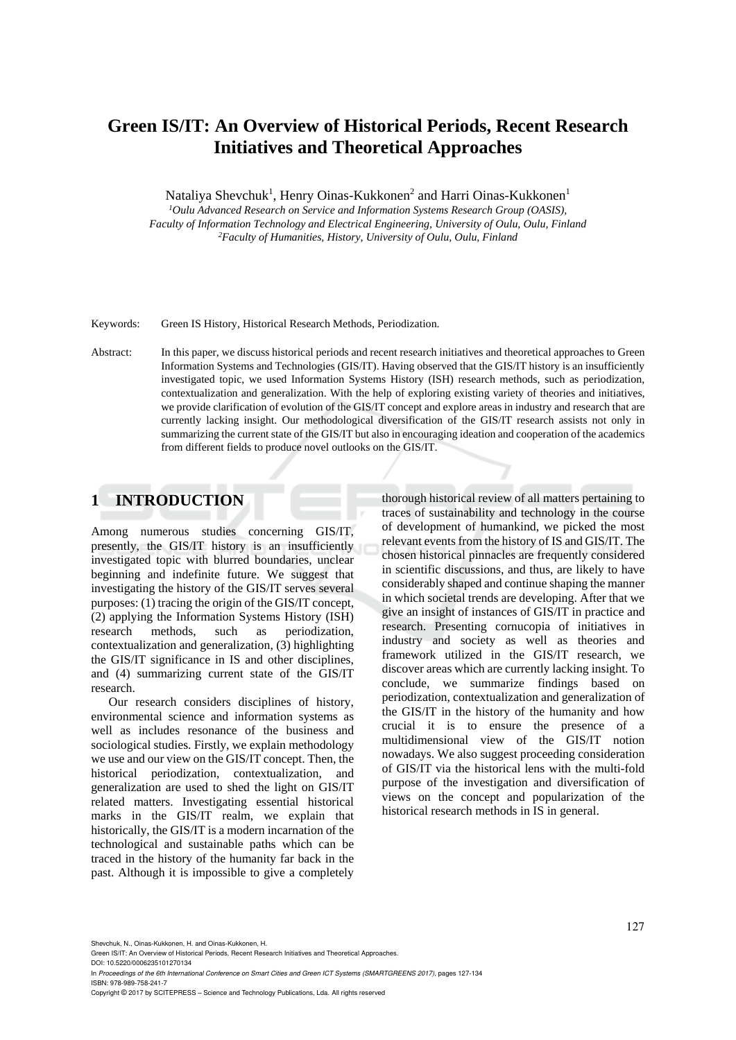# **Green IS/IT: An Overview of Historical Periods, Recent Research Initiatives and Theoretical Approaches**

Nataliya Shevchuk<sup>1</sup>, Henry Oinas-Kukkonen<sup>2</sup> and Harri Oinas-Kukkonen<sup>1</sup>

*1Oulu Advanced Research on Service and Information Systems Research Group (OASIS), Faculty of Information Technology and Electrical Engineering, University of Oulu, Oulu, Finland 2Faculty of Humanities, History, University of Oulu, Oulu, Finland* 

Keywords: Green IS History, Historical Research Methods, Periodization.

Abstract: In this paper, we discuss historical periods and recent research initiatives and theoretical approaches to Green Information Systems and Technologies (GIS/IT). Having observed that the GIS/IT history is an insufficiently investigated topic, we used Information Systems History (ISH) research methods, such as periodization, contextualization and generalization. With the help of exploring existing variety of theories and initiatives, we provide clarification of evolution of the GIS/IT concept and explore areas in industry and research that are currently lacking insight. Our methodological diversification of the GIS/IT research assists not only in summarizing the current state of the GIS/IT but also in encouraging ideation and cooperation of the academics from different fields to produce novel outlooks on the GIS/IT.

### **1 INTRODUCTION**

Among numerous studies concerning GIS/IT, presently, the GIS/IT history is an insufficiently investigated topic with blurred boundaries, unclear beginning and indefinite future. We suggest that investigating the history of the GIS/IT serves several purposes: (1) tracing the origin of the GIS/IT concept, (2) applying the Information Systems History (ISH) research methods, such as periodization, contextualization and generalization, (3) highlighting the GIS/IT significance in IS and other disciplines, and (4) summarizing current state of the GIS/IT research.

Our research considers disciplines of history, environmental science and information systems as well as includes resonance of the business and sociological studies. Firstly, we explain methodology we use and our view on the GIS/IT concept. Then, the historical periodization, contextualization, and generalization are used to shed the light on GIS/IT related matters. Investigating essential historical marks in the GIS/IT realm, we explain that historically, the GIS/IT is a modern incarnation of the technological and sustainable paths which can be traced in the history of the humanity far back in the past. Although it is impossible to give a completely

thorough historical review of all matters pertaining to traces of sustainability and technology in the course of development of humankind, we picked the most relevant events from the history of IS and GIS/IT. The chosen historical pinnacles are frequently considered in scientific discussions, and thus, are likely to have considerably shaped and continue shaping the manner in which societal trends are developing. After that we give an insight of instances of GIS/IT in practice and research. Presenting cornucopia of initiatives in industry and society as well as theories and framework utilized in the GIS/IT research, we discover areas which are currently lacking insight. To conclude, we summarize findings based on periodization, contextualization and generalization of the GIS/IT in the history of the humanity and how crucial it is to ensure the presence of a multidimensional view of the GIS/IT notion nowadays. We also suggest proceeding consideration of GIS/IT via the historical lens with the multi-fold purpose of the investigation and diversification of views on the concept and popularization of the historical research methods in IS in general.

In *Proceedings of the 6th International Conference on Smart Cities and Green ICT Systems (SMARTGREENS 2017)*, pages 127-134 ISBN: 978-989-758-241-7

Copyright © 2017 by SCITEPRESS – Science and Technology Publications, Lda. All rights reserved

Shevchuk, N., Oinas-Kukkonen, H. and Oinas-Kukkonen, H.

Green IS/IT: An Overview of Historical Periods, Recent Research Initiatives and Theoretical Approaches. DOI: 10.5220/0006235101270134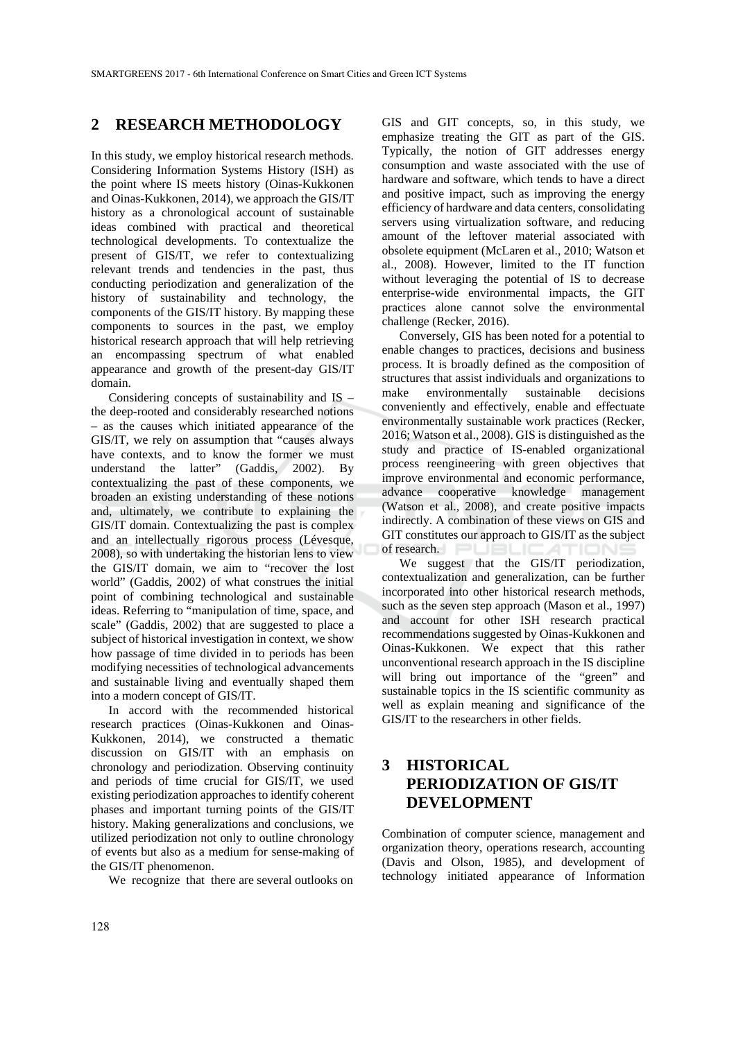#### **2 RESEARCH METHODOLOGY**

In this study, we employ historical research methods. Considering Information Systems History (ISH) as the point where IS meets history (Oinas-Kukkonen and Oinas-Kukkonen, 2014), we approach the GIS/IT history as a chronological account of sustainable ideas combined with practical and theoretical technological developments. To contextualize the present of GIS/IT, we refer to contextualizing relevant trends and tendencies in the past, thus conducting periodization and generalization of the history of sustainability and technology, the components of the GIS/IT history. By mapping these components to sources in the past, we employ historical research approach that will help retrieving an encompassing spectrum of what enabled appearance and growth of the present-day GIS/IT domain.

Considering concepts of sustainability and IS – the deep-rooted and considerably researched notions – as the causes which initiated appearance of the GIS/IT, we rely on assumption that "causes always have contexts, and to know the former we must understand the latter" (Gaddis, 2002). By contextualizing the past of these components, we broaden an existing understanding of these notions and, ultimately, we contribute to explaining the GIS/IT domain. Contextualizing the past is complex and an intellectually rigorous process (Lévesque, 2008), so with undertaking the historian lens to view the GIS/IT domain, we aim to "recover the lost world" (Gaddis, 2002) of what construes the initial point of combining technological and sustainable ideas. Referring to "manipulation of time, space, and scale" (Gaddis, 2002) that are suggested to place a subject of historical investigation in context, we show how passage of time divided in to periods has been modifying necessities of technological advancements and sustainable living and eventually shaped them into a modern concept of GIS/IT.

In accord with the recommended historical research practices (Oinas-Kukkonen and Oinas-Kukkonen, 2014), we constructed a thematic discussion on GIS/IT with an emphasis on chronology and periodization. Observing continuity and periods of time crucial for GIS/IT, we used existing periodization approaches to identify coherent phases and important turning points of the GIS/IT history. Making generalizations and conclusions, we utilized periodization not only to outline chronology of events but also as a medium for sense-making of the GIS/IT phenomenon.

We recognize that there are several outlooks on

GIS and GIT concepts, so, in this study, we emphasize treating the GIT as part of the GIS. Typically, the notion of GIT addresses energy consumption and waste associated with the use of hardware and software, which tends to have a direct and positive impact, such as improving the energy efficiency of hardware and data centers, consolidating servers using virtualization software, and reducing amount of the leftover material associated with obsolete equipment (McLaren et al., 2010; Watson et al., 2008). However, limited to the IT function without leveraging the potential of IS to decrease enterprise-wide environmental impacts, the GIT practices alone cannot solve the environmental challenge (Recker, 2016).

Conversely, GIS has been noted for a potential to enable changes to practices, decisions and business process. It is broadly defined as the composition of structures that assist individuals and organizations to make environmentally sustainable decisions conveniently and effectively, enable and effectuate environmentally sustainable work practices (Recker, 2016; Watson et al., 2008). GIS is distinguished as the study and practice of IS-enabled organizational process reengineering with green objectives that improve environmental and economic performance, advance cooperative knowledge management (Watson et al., 2008), and create positive impacts indirectly. A combination of these views on GIS and GIT constitutes our approach to GIS/IT as the subject of research.

We suggest that the GIS/IT periodization, contextualization and generalization, can be further incorporated into other historical research methods, such as the seven step approach (Mason et al., 1997) and account for other ISH research practical recommendations suggested by Oinas-Kukkonen and Oinas-Kukkonen. We expect that this rather unconventional research approach in the IS discipline will bring out importance of the "green" and sustainable topics in the IS scientific community as well as explain meaning and significance of the GIS/IT to the researchers in other fields.

# **3 HISTORICAL PERIODIZATION OF GIS/IT DEVELOPMENT**

Combination of computer science, management and organization theory, operations research, accounting (Davis and Olson, 1985), and development of technology initiated appearance of Information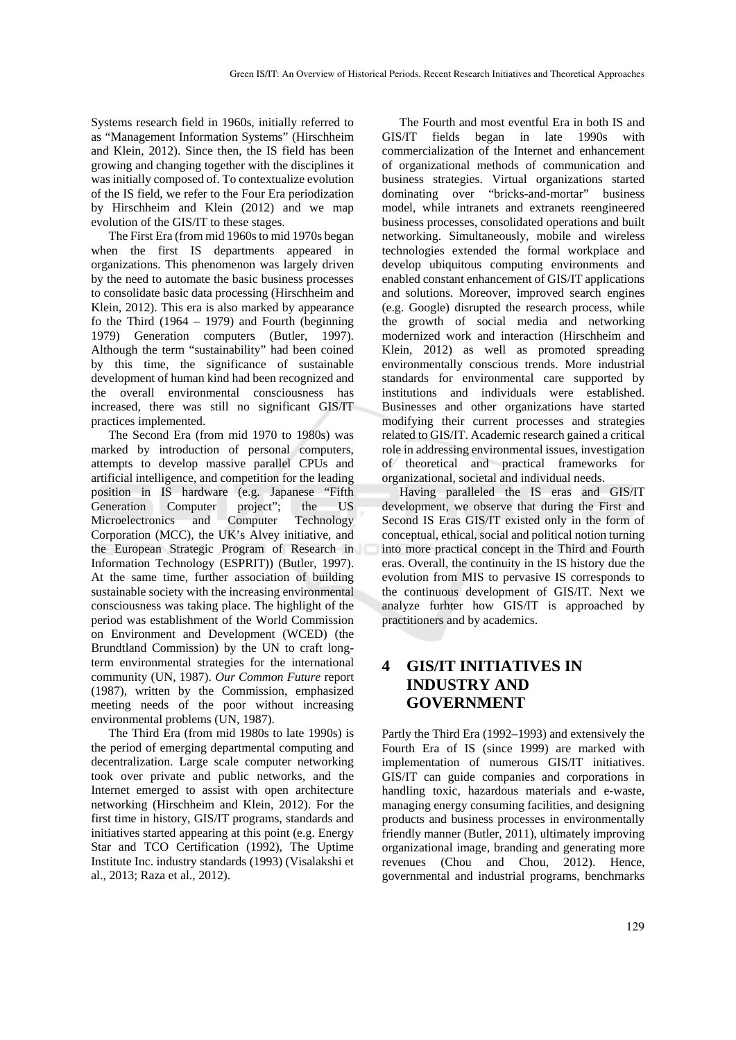Systems research field in 1960s, initially referred to as "Management Information Systems" (Hirschheim and Klein, 2012). Since then, the IS field has been growing and changing together with the disciplines it was initially composed of. To contextualize evolution of the IS field, we refer to the Four Era periodization by Hirschheim and Klein (2012) and we map evolution of the GIS/IT to these stages.

The First Era (from mid 1960s to mid 1970s began when the first IS departments appeared in organizations. This phenomenon was largely driven by the need to automate the basic business processes to consolidate basic data processing (Hirschheim and Klein, 2012). This era is also marked by appearance fo the Third  $(1964 - 1979)$  and Fourth (beginning 1979) Generation computers (Butler, 1997). Although the term "sustainability" had been coined by this time, the significance of sustainable development of human kind had been recognized and the overall environmental consciousness has increased, there was still no significant GIS/IT practices implemented.

The Second Era (from mid 1970 to 1980s) was marked by introduction of personal computers, attempts to develop massive parallel CPUs and artificial intelligence, and competition for the leading position in IS hardware (e.g. Japanese "Fifth Generation Computer project"; the US Microelectronics and Computer Technology Corporation (MCC), the UK's Alvey initiative, and the European Strategic Program of Research in Information Technology (ESPRIT)) (Butler, 1997). At the same time, further association of building sustainable society with the increasing environmental consciousness was taking place. The highlight of the period was establishment of the World Commission on Environment and Development (WCED) (the Brundtland Commission) by the UN to craft longterm environmental strategies for the international community (UN, 1987). *Our Common Future* report (1987), written by the Commission, emphasized meeting needs of the poor without increasing environmental problems (UN, 1987).

The Third Era (from mid 1980s to late 1990s) is the period of emerging departmental computing and decentralization. Large scale computer networking took over private and public networks, and the Internet emerged to assist with open architecture networking (Hirschheim and Klein, 2012). For the first time in history, GIS/IT programs, standards and initiatives started appearing at this point (e.g. Energy Star and TCO Certification (1992), The Uptime Institute Inc. industry standards (1993) (Visalakshi et al., 2013; Raza et al., 2012).

The Fourth and most eventful Era in both IS and GIS/IT fields began in late 1990s with commercialization of the Internet and enhancement of organizational methods of communication and business strategies. Virtual organizations started dominating over "bricks-and-mortar" business model, while intranets and extranets reengineered business processes, consolidated operations and built networking. Simultaneously, mobile and wireless technologies extended the formal workplace and develop ubiquitous computing environments and enabled constant enhancement of GIS/IT applications and solutions. Moreover, improved search engines (e.g. Google) disrupted the research process, while the growth of social media and networking modernized work and interaction (Hirschheim and Klein, 2012) as well as promoted spreading environmentally conscious trends. More industrial standards for environmental care supported by institutions and individuals were established. Businesses and other organizations have started modifying their current processes and strategies related to GIS/IT. Academic research gained a critical role in addressing environmental issues, investigation of theoretical and practical frameworks for organizational, societal and individual needs.

Having paralleled the IS eras and GIS/IT development, we observe that during the First and Second IS Eras GIS/IT existed only in the form of conceptual, ethical, social and political notion turning into more practical concept in the Third and Fourth eras. Overall, the continuity in the IS history due the evolution from MIS to pervasive IS corresponds to the continuous development of GIS/IT. Next we analyze furhter how GIS/IT is approached by practitioners and by academics.

## **4 GIS/IT INITIATIVES IN INDUSTRY AND GOVERNMENT**

Partly the Third Era (1992–1993) and extensively the Fourth Era of IS (since 1999) are marked with implementation of numerous GIS/IT initiatives. GIS/IT can guide companies and corporations in handling toxic, hazardous materials and e-waste, managing energy consuming facilities, and designing products and business processes in environmentally friendly manner (Butler, 2011), ultimately improving organizational image, branding and generating more revenues (Chou and Chou, 2012). Hence, governmental and industrial programs, benchmarks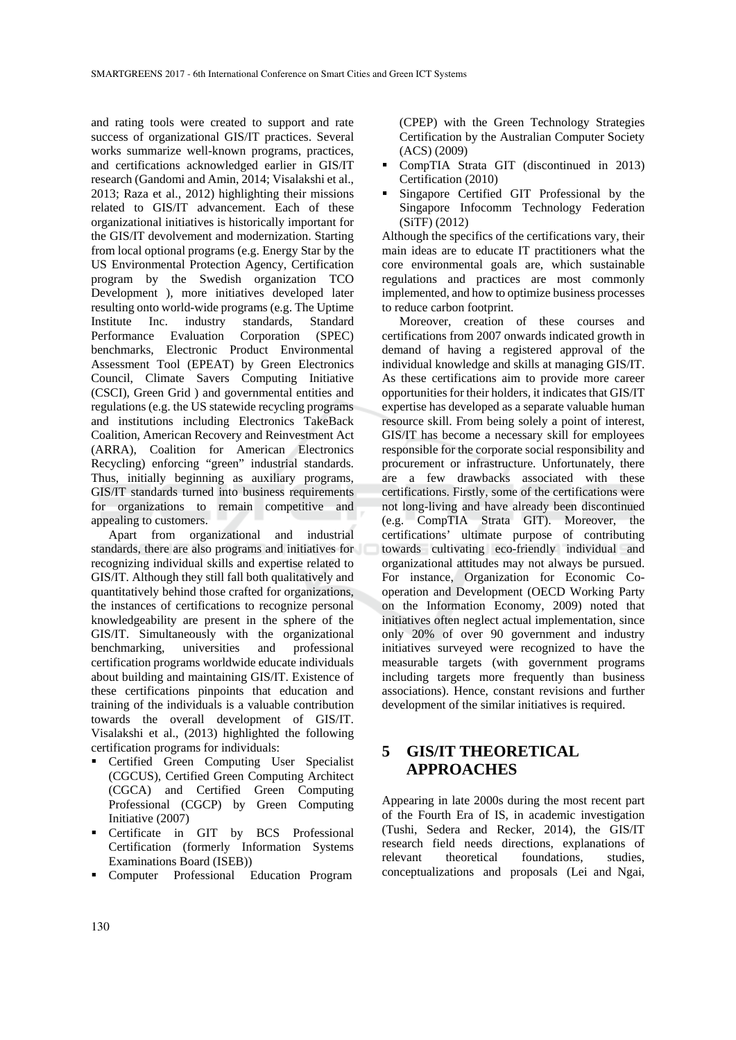and rating tools were created to support and rate success of organizational GIS/IT practices. Several works summarize well-known programs, practices, and certifications acknowledged earlier in GIS/IT research (Gandomi and Amin, 2014; Visalakshi et al., 2013; Raza et al., 2012) highlighting their missions related to GIS/IT advancement. Each of these organizational initiatives is historically important for the GIS/IT devolvement and modernization. Starting from local optional programs (e.g. Energy Star by the US Environmental Protection Agency, Certification program by the Swedish organization TCO Development ), more initiatives developed later resulting onto world-wide programs (e.g. The Uptime Institute Inc. industry standards, Standard Performance Evaluation Corporation (SPEC) benchmarks, Electronic Product Environmental Assessment Tool (EPEAT) by Green Electronics Council, Climate Savers Computing Initiative (CSCI), Green Grid ) and governmental entities and regulations (e.g. the US statewide recycling programs and institutions including Electronics TakeBack Coalition, American Recovery and Reinvestment Act (ARRA), Coalition for American Electronics Recycling) enforcing "green" industrial standards. Thus, initially beginning as auxiliary programs, GIS/IT standards turned into business requirements for organizations to remain competitive and appealing to customers.

Apart from organizational and industrial standards, there are also programs and initiatives for recognizing individual skills and expertise related to GIS/IT. Although they still fall both qualitatively and quantitatively behind those crafted for organizations, the instances of certifications to recognize personal knowledgeability are present in the sphere of the GIS/IT. Simultaneously with the organizational benchmarking, universities and professional certification programs worldwide educate individuals about building and maintaining GIS/IT. Existence of these certifications pinpoints that education and training of the individuals is a valuable contribution towards the overall development of GIS/IT. Visalakshi et al., (2013) highlighted the following certification programs for individuals:

- Certified Green Computing User Specialist (CGCUS), Certified Green Computing Architect (CGCA) and Certified Green Computing Professional (CGCP) by Green Computing Initiative (2007)
- Certificate in GIT by BCS Professional Certification (formerly Information Systems Examinations Board (ISEB))
- Computer Professional Education Program

(CPEP) with the Green Technology Strategies Certification by the Australian Computer Society (ACS) (2009)

- CompTIA Strata GIT (discontinued in 2013) Certification (2010)
- Singapore Certified GIT Professional by the Singapore Infocomm Technology Federation (SiTF) (2012)

Although the specifics of the certifications vary, their main ideas are to educate IT practitioners what the core environmental goals are, which sustainable regulations and practices are most commonly implemented, and how to optimize business processes to reduce carbon footprint.

Moreover, creation of these courses and certifications from 2007 onwards indicated growth in demand of having a registered approval of the individual knowledge and skills at managing GIS/IT. As these certifications aim to provide more career opportunities for their holders, it indicates that GIS/IT expertise has developed as a separate valuable human resource skill. From being solely a point of interest, GIS/IT has become a necessary skill for employees responsible for the corporate social responsibility and procurement or infrastructure. Unfortunately, there are a few drawbacks associated with these certifications. Firstly, some of the certifications were not long-living and have already been discontinued (e.g. CompTIA Strata GIT). Moreover, the certifications' ultimate purpose of contributing towards cultivating eco-friendly individual and organizational attitudes may not always be pursued. For instance, Organization for Economic Cooperation and Development (OECD Working Party on the Information Economy, 2009) noted that initiatives often neglect actual implementation, since only 20% of over 90 government and industry initiatives surveyed were recognized to have the measurable targets (with government programs including targets more frequently than business associations). Hence, constant revisions and further development of the similar initiatives is required.

### **5 GIS/IT THEORETICAL APPROACHES**

Appearing in late 2000s during the most recent part of the Fourth Era of IS, in academic investigation (Tushi, Sedera and Recker, 2014), the GIS/IT research field needs directions, explanations of relevant theoretical foundations, studies, conceptualizations and proposals (Lei and Ngai,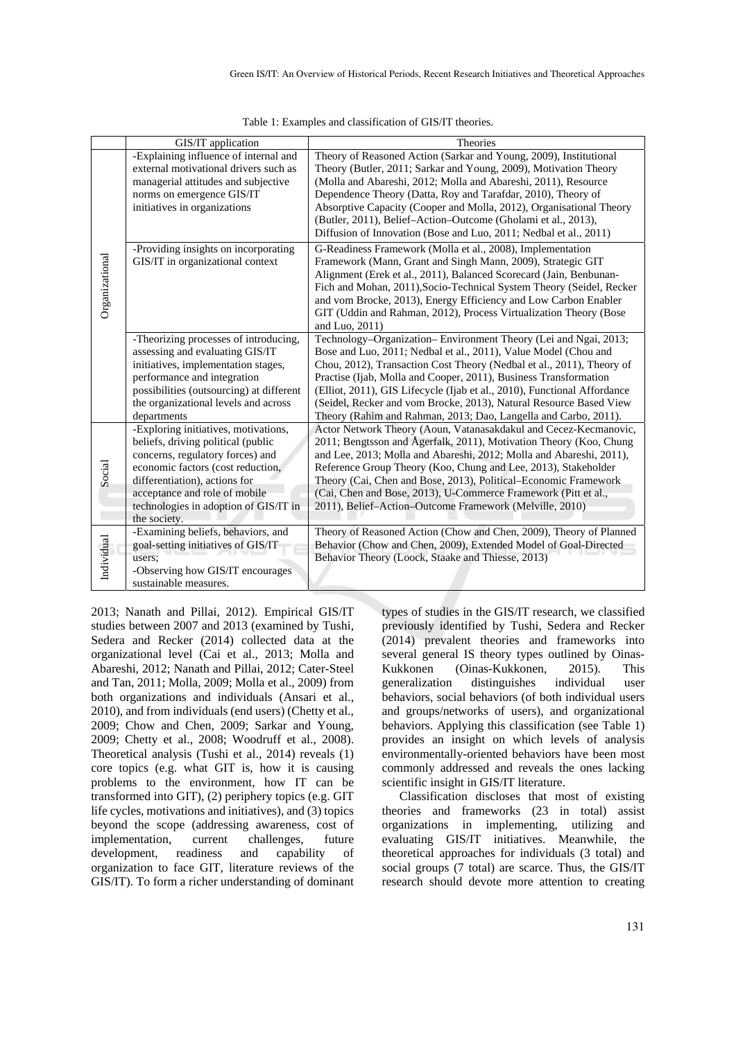|                | GIS/IT application                                                                                                                                                                                                                                                             | Theories                                                                                                                                                                                                                                                                                                                                                                                                                                                                                             |
|----------------|--------------------------------------------------------------------------------------------------------------------------------------------------------------------------------------------------------------------------------------------------------------------------------|------------------------------------------------------------------------------------------------------------------------------------------------------------------------------------------------------------------------------------------------------------------------------------------------------------------------------------------------------------------------------------------------------------------------------------------------------------------------------------------------------|
| Organizational | -Explaining influence of internal and<br>external motivational drivers such as<br>managerial attitudes and subjective<br>norms on emergence GIS/IT<br>initiatives in organizations                                                                                             | Theory of Reasoned Action (Sarkar and Young, 2009), Institutional<br>Theory (Butler, 2011; Sarkar and Young, 2009), Motivation Theory<br>(Molla and Abareshi, 2012; Molla and Abareshi, 2011), Resource<br>Dependence Theory (Datta, Roy and Tarafdar, 2010), Theory of<br>Absorptive Capacity (Cooper and Molla, 2012), Organisational Theory<br>(Butler, 2011), Belief-Action-Outcome (Gholami et al., 2013),<br>Diffusion of Innovation (Bose and Luo, 2011; Nedbal et al., 2011)                 |
|                | -Providing insights on incorporating<br>GIS/IT in organizational context                                                                                                                                                                                                       | G-Readiness Framework (Molla et al., 2008), Implementation<br>Framework (Mann, Grant and Singh Mann, 2009), Strategic GIT<br>Alignment (Erek et al., 2011), Balanced Scorecard (Jain, Benbunan-<br>Fich and Mohan, 2011), Socio-Technical System Theory (Seidel, Recker<br>and vom Brocke, 2013), Energy Efficiency and Low Carbon Enabler<br>GIT (Uddin and Rahman, 2012), Process Virtualization Theory (Bose<br>and Luo, 2011)                                                                    |
|                | -Theorizing processes of introducing,<br>assessing and evaluating GIS/IT<br>initiatives, implementation stages,<br>performance and integration<br>possibilities (outsourcing) at different<br>the organizational levels and across<br>departments                              | Technology-Organization-Environment Theory (Lei and Ngai, 2013;<br>Bose and Luo, 2011; Nedbal et al., 2011), Value Model (Chou and<br>Chou, 2012), Transaction Cost Theory (Nedbal et al., 2011), Theory of<br>Practise (Ijab, Molla and Cooper, 2011), Business Transformation<br>(Elliot, 2011), GIS Lifecycle (Ijab et al., 2010), Functional Affordance<br>(Seidel, Recker and vom Brocke, 2013), Natural Resource Based View<br>Theory (Rahim and Rahman, 2013; Dao, Langella and Carbo, 2011). |
| Social         | -Exploring initiatives, motivations,<br>beliefs, driving political (public<br>concerns, regulatory forces) and<br>economic factors (cost reduction,<br>differentiation), actions for<br>acceptance and role of mobile<br>technologies in adoption of GIS/IT in<br>the society. | Actor Network Theory (Aoun, Vatanasakdakul and Cecez-Kecmanovic,<br>2011; Bengtsson and Ågerfalk, 2011), Motivation Theory (Koo, Chung<br>and Lee, 2013; Molla and Abareshi, 2012; Molla and Abareshi, 2011),<br>Reference Group Theory (Koo, Chung and Lee, 2013), Stakeholder<br>Theory (Cai, Chen and Bose, 2013), Political–Economic Framework<br>(Cai, Chen and Bose, 2013), U-Commerce Framework (Pitt et al.,<br>2011), Belief-Action-Outcome Framework (Melville, 2010)                      |
| Individual     | -Examining beliefs, behaviors, and<br>goal-setting initiatives of GIS/IT<br>users:<br>-Observing how GIS/IT encourages<br>sustainable measures.                                                                                                                                | Theory of Reasoned Action (Chow and Chen, 2009), Theory of Planned<br>Behavior (Chow and Chen, 2009), Extended Model of Goal-Directed<br>Behavior Theory (Loock, Staake and Thiesse, 2013)                                                                                                                                                                                                                                                                                                           |

Table 1: Examples and classification of GIS/IT theories.

2013; Nanath and Pillai, 2012). Empirical GIS/IT studies between 2007 and 2013 (examined by Tushi, Sedera and Recker (2014) collected data at the organizational level (Cai et al., 2013; Molla and Abareshi, 2012; Nanath and Pillai, 2012; Cater-Steel and Tan, 2011; Molla, 2009; Molla et al., 2009) from both organizations and individuals (Ansari et al., 2010), and from individuals (end users) (Chetty et al., 2009; Chow and Chen, 2009; Sarkar and Young, 2009; Chetty et al., 2008; Woodruff et al., 2008). Theoretical analysis (Tushi et al., 2014) reveals (1) core topics (e.g. what GIT is, how it is causing problems to the environment, how IT can be transformed into GIT), (2) periphery topics (e.g. GIT life cycles, motivations and initiatives), and (3) topics beyond the scope (addressing awareness, cost of implementation, current challenges, future development, readiness and capability of organization to face GIT, literature reviews of the GIS/IT). To form a richer understanding of dominant types of studies in the GIS/IT research, we classified previously identified by Tushi, Sedera and Recker (2014) prevalent theories and frameworks into several general IS theory types outlined by Oinas-Kukkonen (Oinas-Kukkonen, 2015). This generalization distinguishes individual user behaviors, social behaviors (of both individual users and groups/networks of users), and organizational behaviors. Applying this classification (see Table 1) provides an insight on which levels of analysis environmentally-oriented behaviors have been most commonly addressed and reveals the ones lacking scientific insight in GIS/IT literature.

Classification discloses that most of existing theories and frameworks (23 in total) assist organizations in implementing, utilizing and evaluating GIS/IT initiatives. Meanwhile, the theoretical approaches for individuals (3 total) and social groups (7 total) are scarce. Thus, the GIS/IT research should devote more attention to creating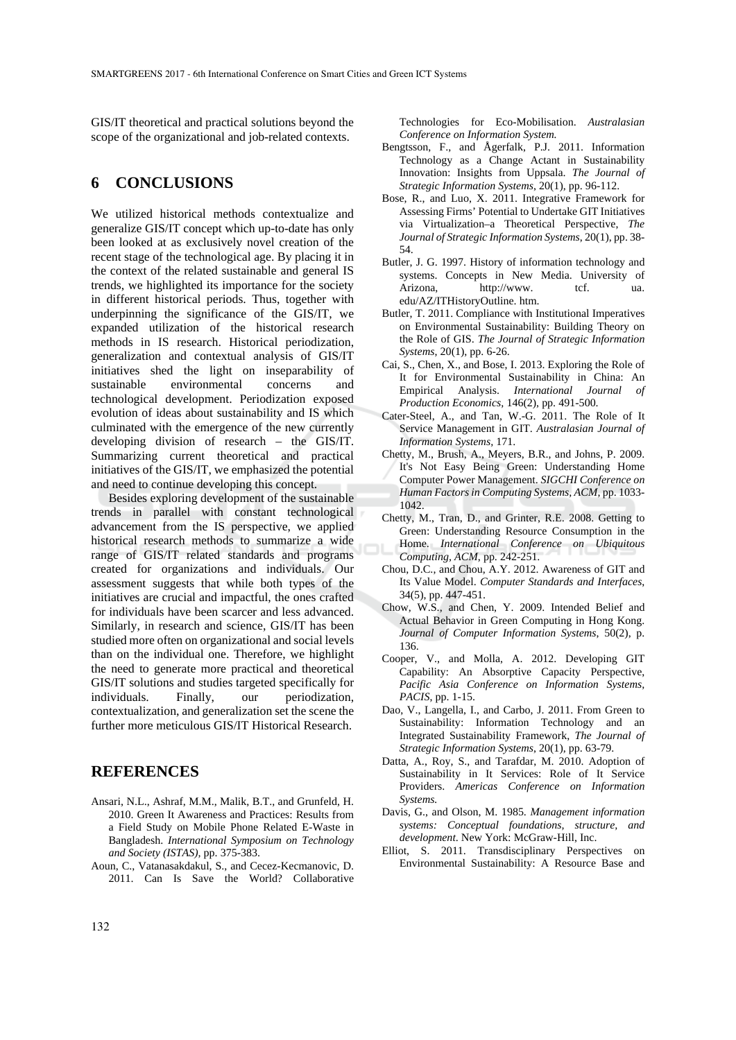GIS/IT theoretical and practical solutions beyond the scope of the organizational and job-related contexts.

#### **6 CONCLUSIONS**

We utilized historical methods contextualize and generalize GIS/IT concept which up-to-date has only been looked at as exclusively novel creation of the recent stage of the technological age. By placing it in the context of the related sustainable and general IS trends, we highlighted its importance for the society in different historical periods. Thus, together with underpinning the significance of the GIS/IT, we expanded utilization of the historical research methods in IS research. Historical periodization, generalization and contextual analysis of GIS/IT initiatives shed the light on inseparability of sustainable environmental concerns and technological development. Periodization exposed evolution of ideas about sustainability and IS which culminated with the emergence of the new currently developing division of research – the GIS/IT. Summarizing current theoretical and practical initiatives of the GIS/IT, we emphasized the potential and need to continue developing this concept.

Besides exploring development of the sustainable trends in parallel with constant technological advancement from the IS perspective, we applied historical research methods to summarize a wide range of GIS/IT related standards and programs created for organizations and individuals. Our assessment suggests that while both types of the initiatives are crucial and impactful, the ones crafted for individuals have been scarcer and less advanced. Similarly, in research and science, GIS/IT has been studied more often on organizational and social levels than on the individual one. Therefore, we highlight the need to generate more practical and theoretical GIS/IT solutions and studies targeted specifically for individuals. Finally, our periodization, contextualization, and generalization set the scene the further more meticulous GIS/IT Historical Research.

#### **REFERENCES**

- Ansari, N.L., Ashraf, M.M., Malik, B.T., and Grunfeld, H. 2010. Green It Awareness and Practices: Results from a Field Study on Mobile Phone Related E-Waste in Bangladesh. *International Symposium on Technology and Society (ISTAS),* pp. 375-383.
- Aoun, C., Vatanasakdakul, S., and Cecez-Kecmanovic, D. 2011. Can Is Save the World? Collaborative

Technologies for Eco-Mobilisation. *Australasian Conference on Information System.*

- Bengtsson, F., and Ågerfalk, P.J. 2011. Information Technology as a Change Actant in Sustainability Innovation: Insights from Uppsala. *The Journal of Strategic Information Systems*, 20(1), pp. 96-112.
- Bose, R., and Luo, X. 2011. Integrative Framework for Assessing Firms' Potential to Undertake GIT Initiatives via Virtualization–a Theoretical Perspective, *The Journal of Strategic Information Systems*, 20(1), pp. 38- 54.
- Butler, J. G. 1997. History of information technology and systems. Concepts in New Media. University of Arizona, http://www. tcf. ua. edu/AZ/ITHistoryOutline. htm.
- Butler, T. 2011. Compliance with Institutional Imperatives on Environmental Sustainability: Building Theory on the Role of GIS. *The Journal of Strategic Information Systems*, 20(1), pp. 6-26.
- Cai, S., Chen, X., and Bose, I. 2013. Exploring the Role of It for Environmental Sustainability in China: An Empirical Analysis. *International Journal of Production Economics,* 146(2), pp. 491-500.
- Cater-Steel, A., and Tan, W.-G. 2011. The Role of It Service Management in GIT. *Australasian Journal of Information Systems,* 171.
- Chetty, M., Brush, A., Meyers, B.R., and Johns, P. 2009. It's Not Easy Being Green: Understanding Home Computer Power Management. *SIGCHI Conference on Human Factors in Computing Systems, ACM*, pp. 1033- 1042.
- Chetty, M., Tran, D., and Grinter, R.E. 2008. Getting to Green: Understanding Resource Consumption in the Home. *International Conference on Ubiquitous Computing, ACM*, pp. 242-251.
- Chou, D.C., and Chou, A.Y. 2012. Awareness of GIT and Its Value Model. *Computer Standards and Interfaces*, 34(5), pp. 447-451.
- Chow, W.S., and Chen, Y. 2009. Intended Belief and Actual Behavior in Green Computing in Hong Kong. *Journal of Computer Information Systems*, 50(2), p. 136.
- Cooper, V., and Molla, A. 2012. Developing GIT Capability: An Absorptive Capacity Perspective, *Pacific Asia Conference on Information Systems, PACIS*, pp. 1-15.
- Dao, V., Langella, I., and Carbo, J. 2011. From Green to Sustainability: Information Technology and an Integrated Sustainability Framework, *The Journal of Strategic Information Systems*, 20(1), pp. 63-79.
- Datta, A., Roy, S., and Tarafdar, M. 2010. Adoption of Sustainability in It Services: Role of It Service Providers. *Americas Conference on Information Systems.*
- Davis, G., and Olson, M. 1985. *Management information systems: Conceptual foundations, structure, and development*. New York: McGraw-Hill, Inc.
- Elliot, S. 2011. Transdisciplinary Perspectives on Environmental Sustainability: A Resource Base and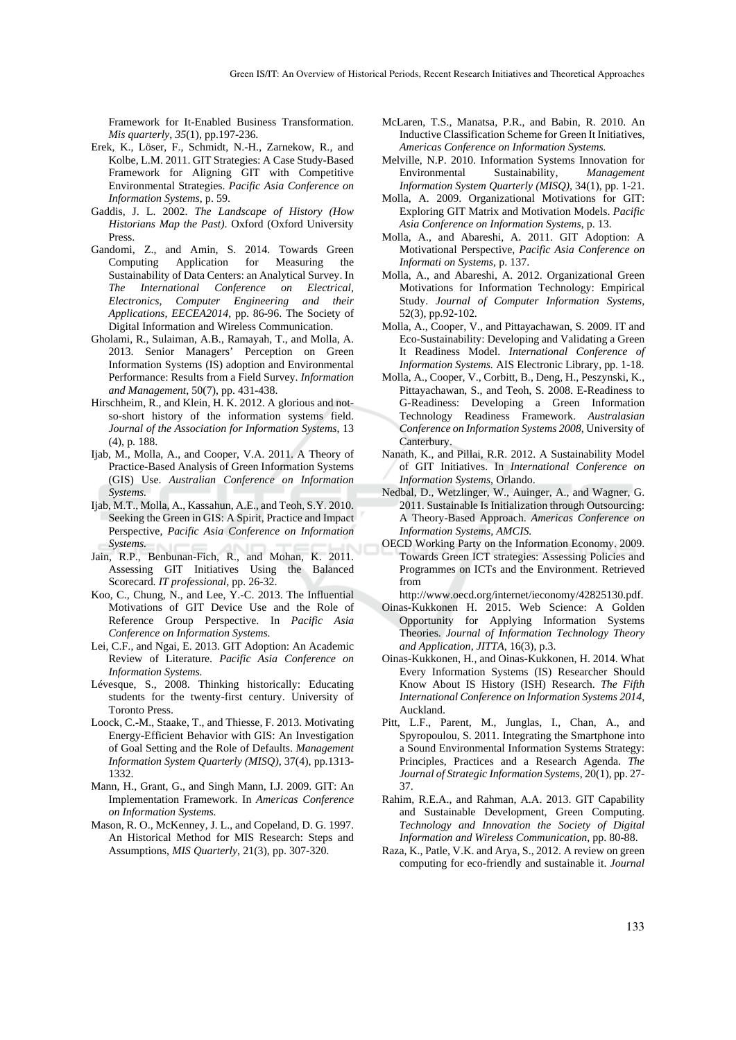Framework for It-Enabled Business Transformation. *Mis quarterly*, *35*(1), pp.197-236.

- Erek, K., Löser, F., Schmidt, N.-H., Zarnekow, R., and Kolbe, L.M. 2011. GIT Strategies: A Case Study-Based Framework for Aligning GIT with Competitive Environmental Strategies. *Pacific Asia Conference on Information Systems*, p. 59.
- Gaddis, J. L. 2002. *The Landscape of History (How Historians Map the Past)*. Oxford (Oxford University Press.
- Gandomi, Z., and Amin, S. 2014. Towards Green Computing Application for Measuring the Sustainability of Data Centers: an Analytical Survey. In *The International Conference on Electrical, Electronics, Computer Engineering and their Applications, EECEA2014*, pp. 86-96. The Society of Digital Information and Wireless Communication.
- Gholami, R., Sulaiman, A.B., Ramayah, T., and Molla, A. 2013. Senior Managers' Perception on Green Information Systems (IS) adoption and Environmental Performance: Results from a Field Survey. *Information and Management*, 50(7), pp. 431-438.
- Hirschheim, R., and Klein, H. K. 2012. A glorious and notso-short history of the information systems field. *Journal of the Association for Information Systems*, 13 (4), p. 188.
- Ijab, M., Molla, A., and Cooper, V.A. 2011. A Theory of Practice-Based Analysis of Green Information Systems (GIS) Use. *Australian Conference on Information Systems.*
- Ijab, M.T., Molla, A., Kassahun, A.E., and Teoh, S.Y. 2010. Seeking the Green in GIS: A Spirit, Practice and Impact Perspective, *Pacific Asia Conference on Information Systems.*
- Jain, R.P., Benbunan-Fich, R., and Mohan, K. 2011. Assessing GIT Initiatives Using the Balanced Scorecard. *IT professional*, pp. 26-32.
- Koo, C., Chung, N., and Lee, Y.-C. 2013. The Influential Motivations of GIT Device Use and the Role of Reference Group Perspective. In *Pacific Asia Conference on Information Systems.*
- Lei, C.F., and Ngai, E. 2013. GIT Adoption: An Academic Review of Literature. *Pacific Asia Conference on Information Systems.*
- Lévesque, S., 2008. Thinking historically: Educating students for the twenty-first century. University of Toronto Press.
- Loock, C.-M., Staake, T., and Thiesse, F. 2013. Motivating Energy-Efficient Behavior with GIS: An Investigation of Goal Setting and the Role of Defaults. *Management Information System Quarterly (MISQ)*, 37(4), pp.1313- 1332.
- Mann, H., Grant, G., and Singh Mann, I.J. 2009. GIT: An Implementation Framework. In *Americas Conference on Information Systems.*
- Mason, R. O., McKenney, J. L., and Copeland, D. G. 1997. An Historical Method for MIS Research: Steps and Assumptions, *MIS Quarterly*, 21(3), pp. 307-320.
- McLaren, T.S., Manatsa, P.R., and Babin, R. 2010. An Inductive Classification Scheme for Green It Initiatives, *Americas Conference on Information Systems.*
- Melville, N.P. 2010. Information Systems Innovation for Environmental Sustainability, *Management Information System Quarterly (MISQ),* 34(1), pp. 1-21.
- Molla, A. 2009. Organizational Motivations for GIT: Exploring GIT Matrix and Motivation Models. *Pacific Asia Conference on Information Systems*, p. 13.
- Molla, A., and Abareshi, A. 2011. GIT Adoption: A Motivational Perspective, *Pacific Asia Conference on Informati on Systems,* p. 137.
- Molla, A., and Abareshi, A. 2012. Organizational Green Motivations for Information Technology: Empirical Study. *Journal of Computer Information Systems,* 52(3), pp.92-102.
- Molla, A., Cooper, V., and Pittayachawan, S. 2009. IT and Eco-Sustainability: Developing and Validating a Green It Readiness Model. *International Conference of Information Systems.* AIS Electronic Library, pp. 1-18.
- Molla, A., Cooper, V., Corbitt, B., Deng, H., Peszynski, K., Pittayachawan, S., and Teoh, S. 2008. E-Readiness to G-Readiness: Developing a Green Information Technology Readiness Framework. *Australasian Conference on Information Systems 2008*, University of Canterbury.
- Nanath, K., and Pillai, R.R. 2012. A Sustainability Model of GIT Initiatives. In *International Conference on Information Systems*, Orlando.
- Nedbal, D., Wetzlinger, W., Auinger, A., and Wagner, G. 2011. Sustainable Is Initialization through Outsourcing: A Theory-Based Approach. *Americas Conference on Information Systems, AMCIS.*
- OECD Working Party on the Information Economy. 2009. Towards Green ICT strategies: Assessing Policies and Programmes on ICTs and the Environment. Retrieved from
- http://www.oecd.org/internet/ieconomy/42825130.pdf.
- Oinas-Kukkonen H. 2015. Web Science: A Golden Opportunity for Applying Information Systems Theories. *Journal of Information Technology Theory and Application, JITTA*, 16(3), p.3.
- Oinas-Kukkonen, H., and Oinas-Kukkonen, H. 2014. What Every Information Systems (IS) Researcher Should Know About IS History (ISH) Research. *The Fifth International Conference on Information Systems 2014*, Auckland.
- Pitt, L.F., Parent, M., Junglas, I., Chan, A., and Spyropoulou, S. 2011. Integrating the Smartphone into a Sound Environmental Information Systems Strategy: Principles, Practices and a Research Agenda. *The Journal of Strategic Information Systems*, 20(1), pp. 27- 37.
- Rahim, R.E.A., and Rahman, A.A. 2013. GIT Capability and Sustainable Development, Green Computing. *Technology and Innovation the Society of Digital Information and Wireless Communication*, pp. 80-88.
- Raza, K., Patle, V.K. and Arya, S., 2012. A review on green computing for eco-friendly and sustainable it. *Journal*